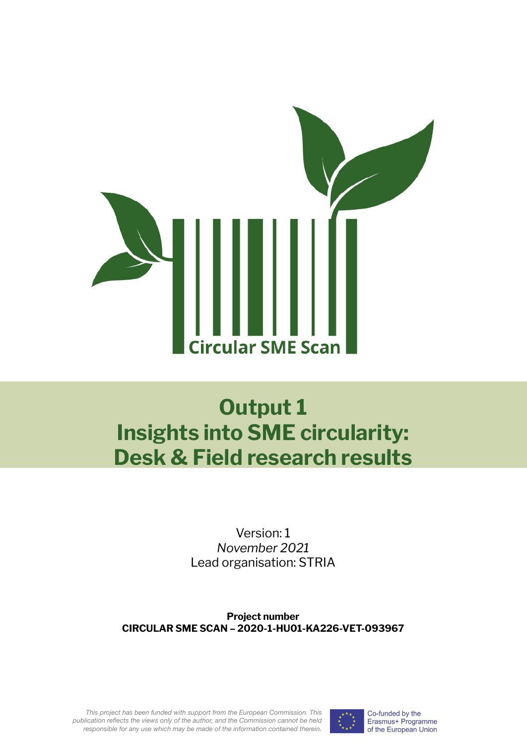

# **Output 1 Insights into SME circularity: Desk & Field research results**

Version: 1 *November 2021* Lead organisation: STRIA

**Project number CIRCULAR SME SCAN – 2020-1-HU01-KA226-VET-093967**

*This project has been funded with support from the European Commission. This publication reflects the views only of the author, and the Commission cannot be held responsible for any use which may be made of the information contained therein.*

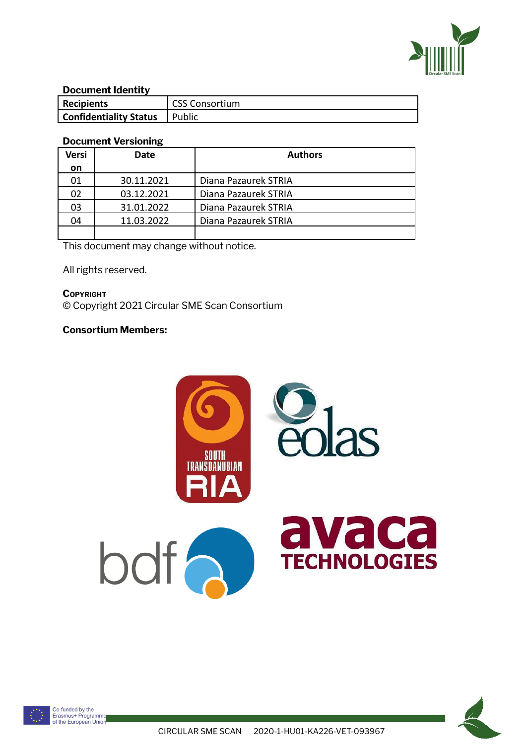

#### **Document Identity**

| Recipients                    | <b>CSS Consortium</b> |
|-------------------------------|-----------------------|
| <b>Confidentiality Status</b> | Public                |

#### **Document Versioning**

| <b>Versi</b> | Date       | <b>Authors</b>       |
|--------------|------------|----------------------|
| <b>on</b>    |            |                      |
| 01           | 30.11.2021 | Diana Pazaurek STRIA |
| 02           | 03.12.2021 | Diana Pazaurek STRIA |
| 03           | 31.01.2022 | Diana Pazaurek STRIA |
| 04           | 11.03.2022 | Diana Pazaurek STRIA |
|              |            |                      |

This document may change without notice.

All rights reserved.

**COPYRIGHT** © Copyright 2021 Circular SME Scan Consortium

### **Consortium Members:**



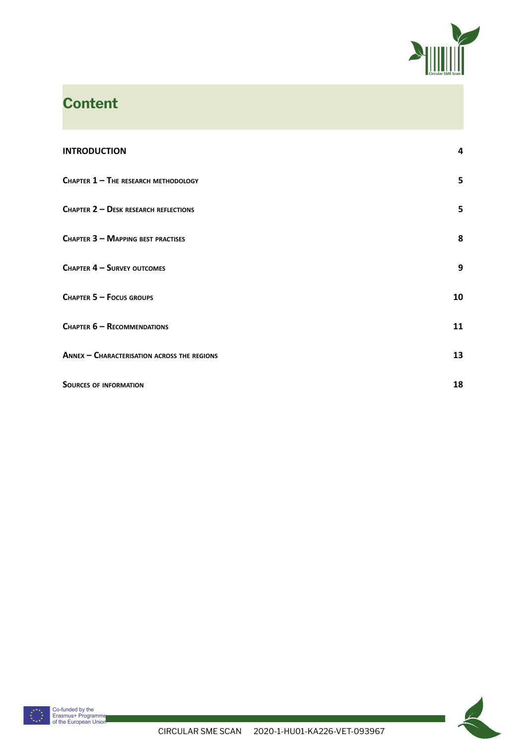

# **Content**

| <b>INTRODUCTION</b>                         | 4  |
|---------------------------------------------|----|
| CHAPTER $1 -$ The RESEARCH METHODOLOGY      | 5  |
| CHAPTER 2 - DESK RESEARCH REFLECTIONS       | 5  |
| CHAPTER 3 - MAPPING BEST PRACTISES          | 8  |
| <b>CHAPTER 4 - SURVEY OUTCOMES</b>          | 9  |
| CHAPTER 5 - FOCUS GROUPS                    | 10 |
| CHAPTER 6 - RECOMMENDATIONS                 | 11 |
| ANNEX - CHARACTERISATION ACROSS THE REGIONS | 13 |
| <b>SOURCES OF INFORMATION</b>               | 18 |



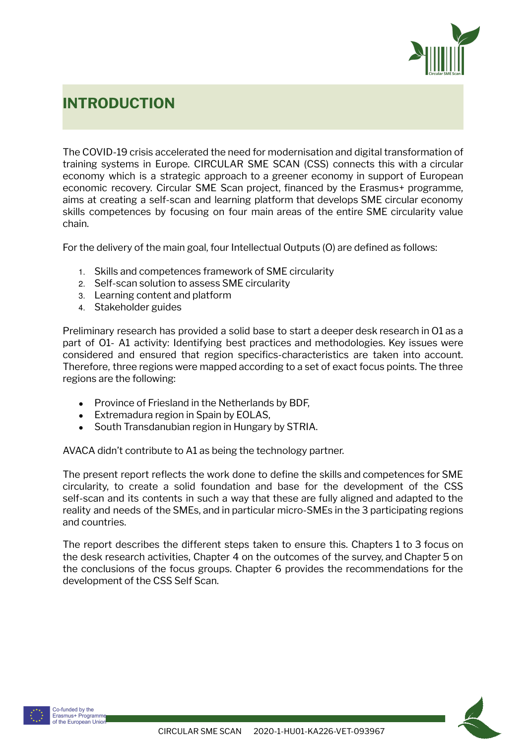

# <span id="page-3-0"></span>**INTRODUCTION**

The COVID-19 crisis accelerated the need for modernisation and digital transformation of training systems in Europe. CIRCULAR SME SCAN (CSS) connects this with a circular economy which is a strategic approach to a greener economy in support of European economic recovery. Circular SME Scan project, financed by the Erasmus+ programme, aims at creating a self-scan and learning platform that develops SME circular economy skills competences by focusing on four main areas of the entire SME circularity value chain.

For the delivery of the main goal, four Intellectual Outputs (O) are defined as follows:

- 1. Skills and competences framework of SME circularity
- 2. Self-scan solution to assess SME circularity
- 3. Learning content and platform
- 4. Stakeholder guides

Preliminary research has provided a solid base to start a deeper desk research in O1 as a part of O1- A1 activity: Identifying best practices and methodologies. Key issues were considered and ensured that region specifics-characteristics are taken into account. Therefore, three regions were mapped according to a set of exact focus points. The three regions are the following:

- Province of Friesland in the Netherlands by BDF.
- Extremadura region in Spain by EOLAS,
- South Transdanubian region in Hungary by STRIA.

AVACA didn't contribute to A1 as being the technology partner.

The present report reflects the work done to define the skills and competences for SME circularity, to create a solid foundation and base for the development of the CSS self-scan and its contents in such a way that these are fully aligned and adapted to the reality and needs of the SMEs, and in particular micro-SMEs in the 3 participating regions and countries.

The report describes the different steps taken to ensure this. Chapters 1 to 3 focus on the desk research activities, Chapter 4 on the outcomes of the survey, and Chapter 5 on the conclusions of the focus groups. Chapter 6 provides the recommendations for the development of the CSS Self Scan.



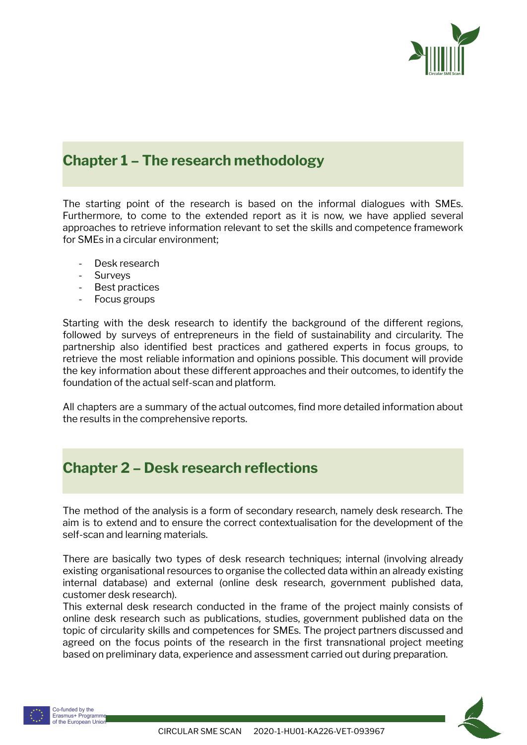

### <span id="page-4-0"></span>**Chapter 1 – The research methodology**

The starting point of the research is based on the informal dialogues with SMEs. Furthermore, to come to the extended report as it is now, we have applied several approaches to retrieve information relevant to set the skills and competence framework for SMEs in a circular environment;

- Desk research
- Surveys
- Best practices
- Focus groups

Starting with the desk research to identify the background of the different regions, followed by surveys of entrepreneurs in the field of sustainability and circularity. The partnership also identified best practices and gathered experts in focus groups, to retrieve the most reliable information and opinions possible. This document will provide the key information about these different approaches and their outcomes, to identify the foundation of the actual self-scan and platform.

All chapters are a summary of the actual outcomes, find more detailed information about the results in the comprehensive reports.

### <span id="page-4-1"></span>**Chapter 2 – Desk research reflections**

The method of the analysis is a form of secondary research, namely desk research. The aim is to extend and to ensure the correct contextualisation for the development of the self-scan and learning materials.

There are basically two types of desk research techniques; internal (involving already existing organisational resources to organise the collected data within an already existing internal database) and external (online desk research, government published data, customer desk research).

This external desk research conducted in the frame of the project mainly consists of online desk research such as publications, studies, government published data on the topic of circularity skills and competences for SMEs. The project partners discussed and agreed on the focus points of the research in the first transnational project meeting based on preliminary data, experience and assessment carried out during preparation.



Co-funded by the Erasmus+ Programme of the European Unior

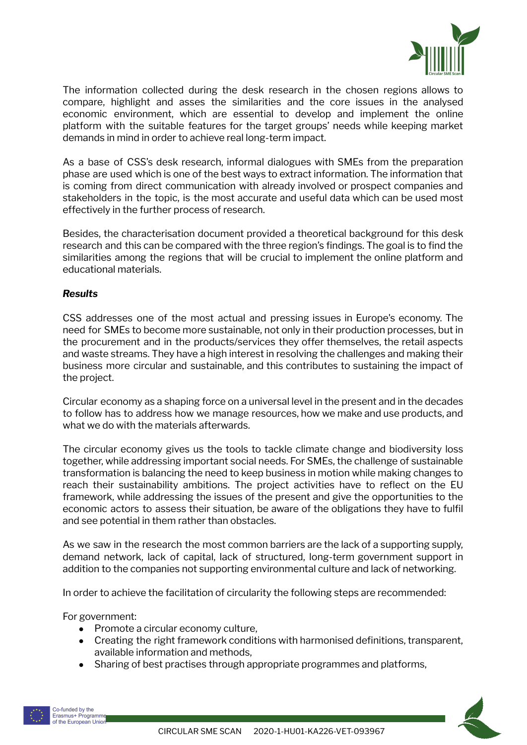

The information collected during the desk research in the chosen regions allows to compare, highlight and asses the similarities and the core issues in the analysed economic environment, which are essential to develop and implement the online platform with the suitable features for the target groups' needs while keeping market demands in mind in order to achieve real long-term impact.

As a base of CSS's desk research, informal dialogues with SMEs from the preparation phase are used which is one of the best ways to extract information. The information that is coming from direct communication with already involved or prospect companies and stakeholders in the topic, is the most accurate and useful data which can be used most effectively in the further process of research.

Besides, the characterisation document provided a theoretical background for this desk research and this can be compared with the three region's findings. The goal is to find the similarities among the regions that will be crucial to implement the online platform and educational materials.

#### *Results*

CSS addresses one of the most actual and pressing issues in Europe's economy. The need for SMEs to become more sustainable, not only in their production processes, but in the procurement and in the products/services they offer themselves, the retail aspects and waste streams. They have a high interest in resolving the challenges and making their business more circular and sustainable, and this contributes to sustaining the impact of the project.

Circular economy as a shaping force on a universal level in the present and in the decades to follow has to address how we manage resources, how we make and use products, and what we do with the materials afterwards.

The circular economy gives us the tools to tackle climate change and biodiversity loss together, while addressing important social needs. For SMEs, the challenge of sustainable transformation is balancing the need to keep business in motion while making changes to reach their sustainability ambitions. The project activities have to reflect on the EU framework, while addressing the issues of the present and give the opportunities to the economic actors to assess their situation, be aware of the obligations they have to fulfil and see potential in them rather than obstacles.

As we saw in the research the most common barriers are the lack of a supporting supply, demand network, lack of capital, lack of structured, long-term government support in addition to the companies not supporting environmental culture and lack of networking.

In order to achieve the facilitation of circularity the following steps are recommended:

For government:

- Promote a circular economy culture,
- Creating the right framework conditions with harmonised definitions, transparent, available information and methods,
- Sharing of best practises through appropriate programmes and platforms,

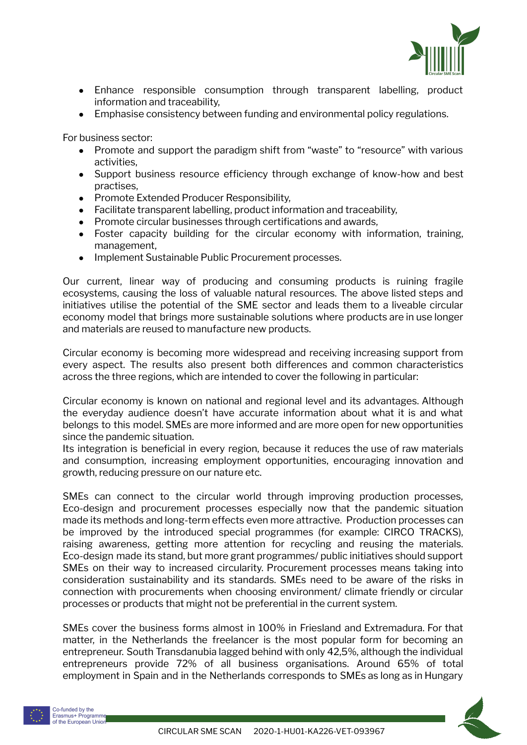

- Enhance responsible consumption through transparent labelling, product information and traceability,
- Emphasise consistency between funding and environmental policy regulations.

For business sector:

- Promote and support the paradigm shift from "waste" to "resource" with various activities,
- Support business resource efficiency through exchange of know-how and best practises,
- Promote Extended Producer Responsibility,
- Facilitate transparent labelling, product information and traceability,
- Promote circular businesses through certifications and awards,
- Foster capacity building for the circular economy with information, training, management,
- Implement Sustainable Public Procurement processes.

Our current, linear way of producing and consuming products is ruining fragile ecosystems, causing the loss of valuable natural resources. The above listed steps and initiatives utilise the potential of the SME sector and leads them to a liveable circular economy model that brings more sustainable solutions where products are in use longer and materials are reused to manufacture new products.

Circular economy is becoming more widespread and receiving increasing support from every aspect. The results also present both differences and common characteristics across the three regions, which are intended to cover the following in particular:

Circular economy is known on national and regional level and its advantages. Although the everyday audience doesn't have accurate information about what it is and what belongs to this model. SMEs are more informed and are more open for new opportunities since the pandemic situation.

Its integration is beneficial in every region, because it reduces the use of raw materials and consumption, increasing employment opportunities, encouraging innovation and growth, reducing pressure on our nature etc.

SMEs can connect to the circular world through improving production processes, Eco-design and procurement processes especially now that the pandemic situation made its methods and long-term effects even more attractive. Production processes can be improved by the introduced special programmes (for example: CIRCO TRACKS), raising awareness, getting more attention for recycling and reusing the materials. Eco-design made its stand, but more grant programmes/ public initiatives should support SMEs on their way to increased circularity. Procurement processes means taking into consideration sustainability and its standards. SMEs need to be aware of the risks in connection with procurements when choosing environment/ climate friendly or circular processes or products that might not be preferential in the current system.

SMEs cover the business forms almost in 100% in Friesland and Extremadura. For that matter, in the Netherlands the freelancer is the most popular form for becoming an entrepreneur. South Transdanubia lagged behind with only 42,5%, although the individual entrepreneurs provide 72% of all business organisations. Around 65% of total employment in Spain and in the Netherlands corresponds to SMEs as long as in Hungary

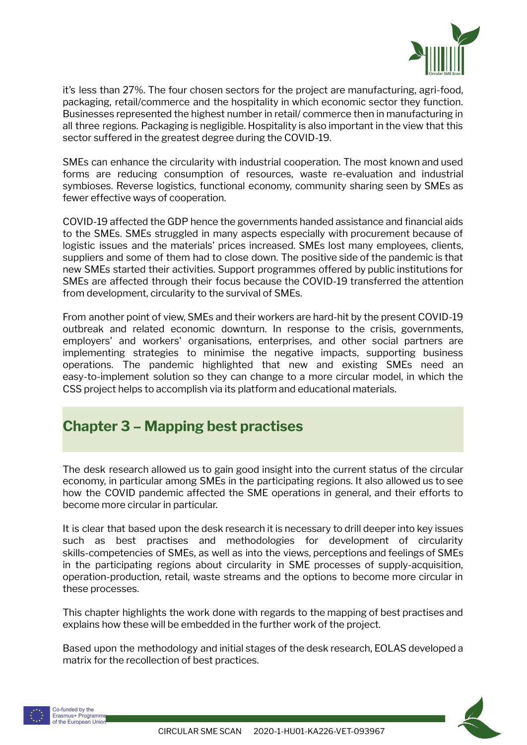

it's less than 27%. The four chosen sectors for the project are manufacturing, agri-food, packaging, retail/commerce and the hospitality in which economic sector they function. Businesses represented the highest number in retail/ commerce then in manufacturing in all three regions. Packaging is negligible. Hospitality is also important in the view that this sector suffered in the greatest degree during the COVID-19.

SMEs can enhance the circularity with industrial cooperation. The most known and used forms are reducing consumption of resources, waste re-evaluation and industrial symbioses. Reverse logistics, functional economy, community sharing seen by SMEs as fewer effective ways of cooperation.

COVID-19 affected the GDP hence the governments handed assistance and financial aids to the SMEs. SMEs struggled in many aspects especially with procurement because of logistic issues and the materials' prices increased. SMEs lost many employees, clients, suppliers and some of them had to close down. The positive side of the pandemic is that new SMEs started their activities. Support programmes offered by public institutions for SMEs are affected through their focus because the COVID-19 transferred the attention from development, circularity to the survival of SMEs.

From another point of view, SMEs and their workers are hard-hit by the present COVID-19 outbreak and related economic downturn. In response to the crisis, governments, employers' and workers' organisations, enterprises, and other social partners are implementing strategies to minimise the negative impacts, supporting business operations. The pandemic highlighted that new and existing SMEs need an easy-to-implement solution so they can change to a more circular model, in which the CSS project helps to accomplish via its platform and educational materials.

## <span id="page-7-0"></span>**Chapter 3 – Mapping best practises**

The desk research allowed us to gain good insight into the current status of the circular economy, in particular among SMEs in the participating regions. It also allowed us to see how the COVID pandemic affected the SME operations in general, and their efforts to become more circular in particular.

It is clear that based upon the desk research it is necessary to drill deeper into key issues such as best practises and methodologies for development of circularity skills-competencies of SMEs, as well as into the views, perceptions and feelings of SMEs in the participating regions about circularity in SME processes of supply-acquisition, operation-production, retail, waste streams and the options to become more circular in these processes.

This chapter highlights the work done with regards to the mapping of best practises and explains how these will be embedded in the further work of the project.

Based upon the methodology and initial stages of the desk research, EOLAS developed a matrix for the recollection of best practices.





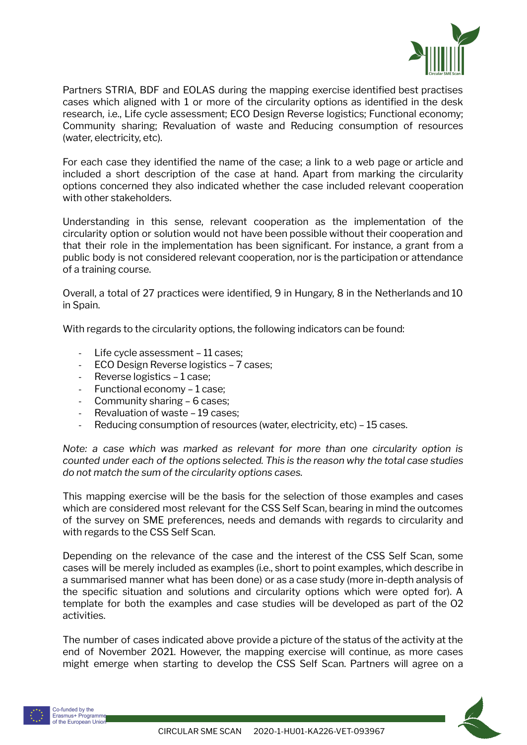

Partners STRIA, BDF and EOLAS during the mapping exercise identified best practises cases which aligned with 1 or more of the circularity options as identified in the desk research, i.e., Life cycle assessment; ECO Design Reverse logistics; Functional economy; Community sharing; Revaluation of waste and Reducing consumption of resources (water, electricity, etc).

For each case they identified the name of the case; a link to a web page or article and included a short description of the case at hand. Apart from marking the circularity options concerned they also indicated whether the case included relevant cooperation with other stakeholders.

Understanding in this sense, relevant cooperation as the implementation of the circularity option or solution would not have been possible without their cooperation and that their role in the implementation has been significant. For instance, a grant from a public body is not considered relevant cooperation, nor is the participation or attendance of a training course.

Overall, a total of 27 practices were identified, 9 in Hungary, 8 in the Netherlands and 10 in Spain.

With regards to the circularity options, the following indicators can be found:

- Life cycle assessment 11 cases;
- ECO Design Reverse logistics 7 cases;
- Reverse logistics 1 case;
- Functional economy 1 case;
- Community sharing 6 cases;
- Revaluation of waste 19 cases;
- Reducing consumption of resources (water, electricity, etc) 15 cases.

*Note: a case which was marked as relevant for more than one circularity option is counted under each of the options selected. This is the reason why the total case studies do not match the sum of the circularity options cases.*

This mapping exercise will be the basis for the selection of those examples and cases which are considered most relevant for the CSS Self Scan, bearing in mind the outcomes of the survey on SME preferences, needs and demands with regards to circularity and with regards to the CSS Self Scan.

Depending on the relevance of the case and the interest of the CSS Self Scan, some cases will be merely included as examples (i.e., short to point examples, which describe in a summarised manner what has been done) or as a case study (more in-depth analysis of the specific situation and solutions and circularity options which were opted for). A template for both the examples and case studies will be developed as part of the O2 activities.

The number of cases indicated above provide a picture of the status of the activity at the end of November 2021. However, the mapping exercise will continue, as more cases might emerge when starting to develop the CSS Self Scan. Partners will agree on a



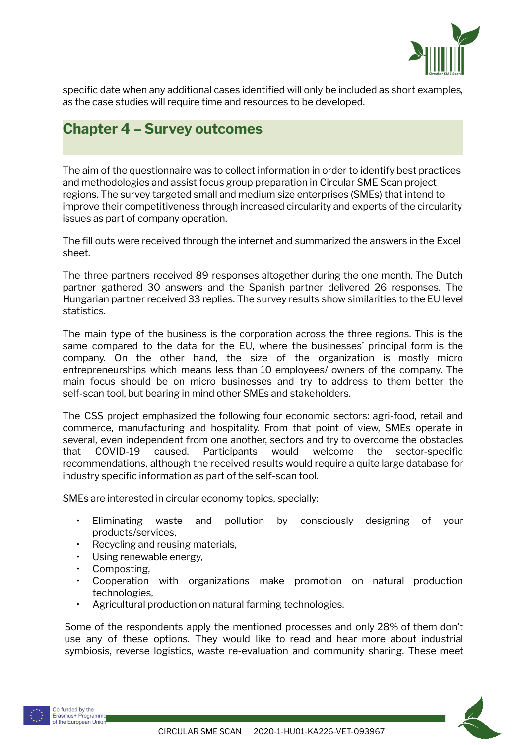

specific date when any additional cases identified will only be included as short examples, as the case studies will require time and resources to be developed.

### <span id="page-9-0"></span>**Chapter 4 – Survey outcomes**

The aim of the questionnaire was to collect information in order to identify best practices and methodologies and assist focus group preparation in Circular SME Scan project regions. The survey targeted small and medium size enterprises (SMEs) that intend to improve their competitiveness through increased circularity and experts of the circularity issues as part of company operation.

The fill outs were received through the internet and summarized the answers in the Excel sheet.

The three partners received 89 responses altogether during the one month. The Dutch partner gathered 30 answers and the Spanish partner delivered 26 responses. The Hungarian partner received 33 replies. The survey results show similarities to the EU level statistics.

The main type of the business is the corporation across the three regions. This is the same compared to the data for the EU, where the businesses' principal form is the company. On the other hand, the size of the organization is mostly micro entrepreneurships which means less than 10 employees/ owners of the company. The main focus should be on micro businesses and try to address to them better the self-scan tool, but bearing in mind other SMEs and stakeholders.

The CSS project emphasized the following four economic sectors: agri-food, retail and commerce, manufacturing and hospitality. From that point of view, SMEs operate in several, even independent from one another, sectors and try to overcome the obstacles that COVID-19 caused. Participants would welcome the sector-specific recommendations, although the received results would require a quite large database for industry specific information as part of the self-scan tool.

SMEs are interested in circular economy topics, specially:

- Eliminating waste and pollution by consciously designing of your products/services,
- Recycling and reusing materials,
- Using renewable energy,
- Composting,
- Cooperation with organizations make promotion on natural production technologies,
- Agricultural production on natural farming technologies.

Some of the respondents apply the mentioned processes and only 28% of them don't use any of these options. They would like to read and hear more about industrial symbiosis, reverse logistics, waste re-evaluation and community sharing. These meet

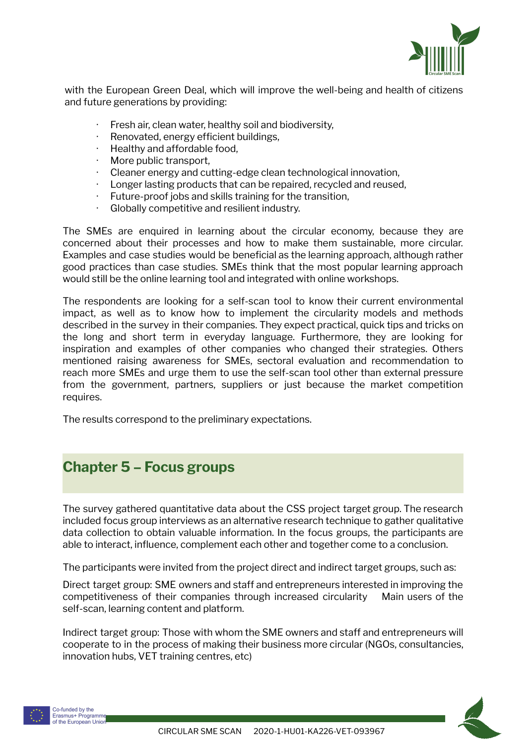

with the European Green Deal, which will improve the well-being and health of citizens and future generations by providing:

- Fresh air, clean water, healthy soil and biodiversity,
- · Renovated, energy efficient buildings,
- · Healthy and affordable food,
- More public transport.
- · Cleaner energy and cutting-edge clean technological innovation,
- Longer lasting products that can be repaired, recycled and reused,
- Future-proof jobs and skills training for the transition,
- Globally competitive and resilient industry.

The SMEs are enquired in learning about the circular economy, because they are concerned about their processes and how to make them sustainable, more circular. Examples and case studies would be beneficial as the learning approach, although rather good practices than case studies. SMEs think that the most popular learning approach would still be the online learning tool and integrated with online workshops.

The respondents are looking for a self-scan tool to know their current environmental impact, as well as to know how to implement the circularity models and methods described in the survey in their companies. They expect practical, quick tips and tricks on the long and short term in everyday language. Furthermore, they are looking for inspiration and examples of other companies who changed their strategies. Others mentioned raising awareness for SMEs, sectoral evaluation and recommendation to reach more SMEs and urge them to use the self-scan tool other than external pressure from the government, partners, suppliers or just because the market competition requires.

The results correspond to the preliminary expectations.

# <span id="page-10-0"></span>**Chapter 5 – Focus groups**

The survey gathered quantitative data about the CSS project target group. The research included focus group interviews as an alternative research technique to gather qualitative data collection to obtain valuable information. In the focus groups, the participants are able to interact, influence, complement each other and together come to a conclusion.

The participants were invited from the project direct and indirect target groups, such as:

Direct target group: SME owners and staff and entrepreneurs interested in improving the competitiveness of their companies through increased circularity Main users of the self-scan, learning content and platform.

Indirect target group: Those with whom the SME owners and staff and entrepreneurs will cooperate to in the process of making their business more circular (NGOs, consultancies, innovation hubs, VET training centres, etc)



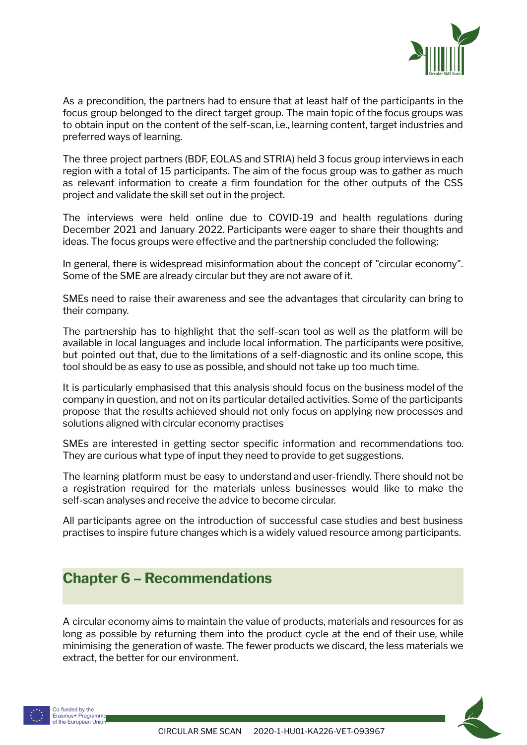

As a precondition, the partners had to ensure that at least half of the participants in the focus group belonged to the direct target group. The main topic of the focus groups was to obtain input on the content of the self-scan, i.e., learning content, target industries and preferred ways of learning.

The three project partners (BDF, EOLAS and STRIA) held 3 focus group interviews in each region with a total of 15 participants. The aim of the focus group was to gather as much as relevant information to create a firm foundation for the other outputs of the CSS project and validate the skill set out in the project.

The interviews were held online due to COVID-19 and health regulations during December 2021 and January 2022. Participants were eager to share their thoughts and ideas. The focus groups were effective and the partnership concluded the following:

In general, there is widespread misinformation about the concept of "circular economy". Some of the SME are already circular but they are not aware of it.

SMEs need to raise their awareness and see the advantages that circularity can bring to their company.

The partnership has to highlight that the self-scan tool as well as the platform will be available in local languages and include local information. The participants were positive, but pointed out that, due to the limitations of a self-diagnostic and its online scope, this tool should be as easy to use as possible, and should not take up too much time.

It is particularly emphasised that this analysis should focus on the business model of the company in question, and not on its particular detailed activities. Some of the participants propose that the results achieved should not only focus on applying new processes and solutions aligned with circular economy practises

SMEs are interested in getting sector specific information and recommendations too. They are curious what type of input they need to provide to get suggestions.

The learning platform must be easy to understand and user-friendly. There should not be a registration required for the materials unless businesses would like to make the self-scan analyses and receive the advice to become circular.

All participants agree on the introduction of successful case studies and best business practises to inspire future changes which is a widely valued resource among participants.

### <span id="page-11-0"></span>**Chapter 6 – Recommendations**

A circular economy aims to maintain the value of products, materials and resources for as long as possible by returning them into the product cycle at the end of their use, while minimising the generation of waste. The fewer products we discard, the less materials we extract, the better for our environment.



Co-funded by the Erasmus+ Programme of the European Unior

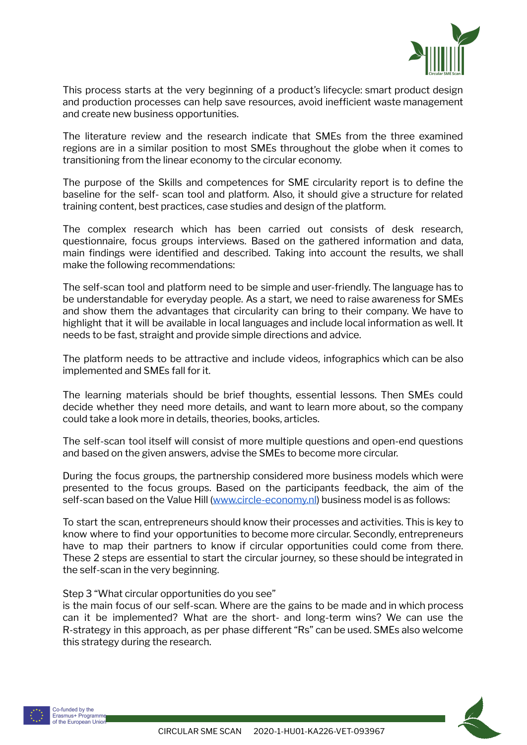

This process starts at the very beginning of a product's lifecycle: smart product design and production processes can help save resources, avoid inefficient waste management and create new business opportunities.

The literature review and the research indicate that SMEs from the three examined regions are in a similar position to most SMEs throughout the globe when it comes to transitioning from the linear economy to the circular economy.

The purpose of the Skills and competences for SME circularity report is to define the baseline for the self- scan tool and platform. Also, it should give a structure for related training content, best practices, case studies and design of the platform.

The complex research which has been carried out consists of desk research, questionnaire, focus groups interviews. Based on the gathered information and data, main findings were identified and described. Taking into account the results, we shall make the following recommendations:

The self-scan tool and platform need to be simple and user-friendly. The language has to be understandable for everyday people. As a start, we need to raise awareness for SMEs and show them the advantages that circularity can bring to their company. We have to highlight that it will be available in local languages and include local information as well. It needs to be fast, straight and provide simple directions and advice.

The platform needs to be attractive and include videos, infographics which can be also implemented and SMEs fall for it.

The learning materials should be brief thoughts, essential lessons. Then SMEs could decide whether they need more details, and want to learn more about, so the company could take a look more in details, theories, books, articles.

The self-scan tool itself will consist of more multiple questions and open-end questions and based on the given answers, advise the SMEs to become more circular.

During the focus groups, the partnership considered more business models which were presented to the focus groups. Based on the participants feedback, the aim of the self-scan based on the Value Hill ([www.circle-economy.nl](http://www.circle-economy.nl/)) business model is as follows:

To start the scan, entrepreneurs should know their processes and activities. This is key to know where to find your opportunities to become more circular. Secondly, entrepreneurs have to map their partners to know if circular opportunities could come from there. These 2 steps are essential to start the circular journey, so these should be integrated in the self-scan in the very beginning.

#### Step 3 "What circular opportunities do you see"

is the main focus of our self-scan. Where are the gains to be made and in which process can it be implemented? What are the short- and long-term wins? We can use the R-strategy in this approach, as per phase different "Rs" can be used. SMEs also welcome this strategy during the research.



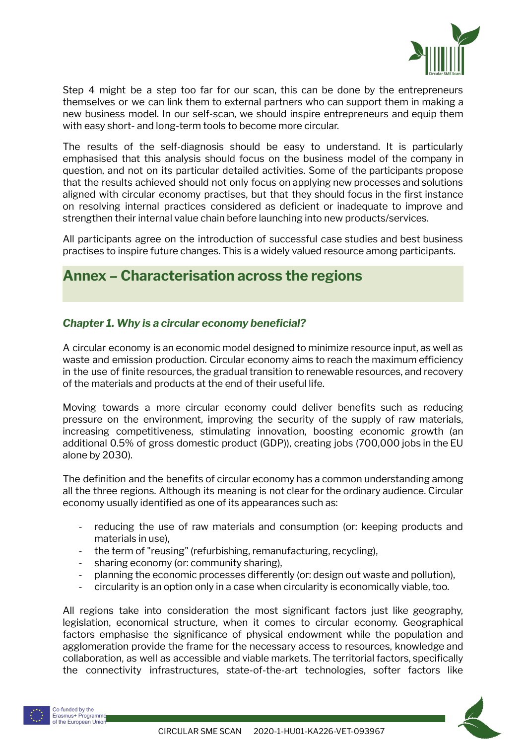

Step 4 might be a step too far for our scan, this can be done by the entrepreneurs themselves or we can link them to external partners who can support them in making a new business model. In our self-scan, we should inspire entrepreneurs and equip them with easy short- and long-term tools to become more circular.

The results of the self-diagnosis should be easy to understand. It is particularly emphasised that this analysis should focus on the business model of the company in question, and not on its particular detailed activities. Some of the participants propose that the results achieved should not only focus on applying new processes and solutions aligned with circular economy practises, but that they should focus in the first instance on resolving internal practices considered as deficient or inadequate to improve and strengthen their internal value chain before launching into new products/services.

All participants agree on the introduction of successful case studies and best business practises to inspire future changes. This is a widely valued resource among participants.

### <span id="page-13-0"></span>**Annex – Characterisation across the regions**

### *Chapter 1. Why is a circular economy beneficial?*

A circular economy is an economic model designed to minimize resource input, as well as waste and emission production. Circular economy aims to reach the maximum efficiency in the use of finite resources, the gradual transition to renewable resources, and recovery of the materials and products at the end of their [useful](https://corporatefinanceinstitute.com/resources/knowledge/accounting/types-depreciation-methods/) life.

Moving towards a more circular economy could deliver benefits such as reducing pressure on the environment, improving the security of the supply of raw materials, increasing competitiveness, stimulating innovation, boosting economic growth (an additional 0.5% of gross domestic product (GDP)), creating jobs ([700,000](https://www.europarl.europa.eu/doceo/document/ENVI-PR-652387_EN.html?redirect) jobs in the EU alone by [2030\)](https://www.europarl.europa.eu/doceo/document/ENVI-PR-652387_EN.html?redirect).

The definition and the benefits of circular economy has a common understanding among all the three regions. Although its meaning is not clear for the ordinary audience. Circular economy usually identified as one of its appearances such as:

- reducing the use of raw materials and consumption (or: keeping products and materials in use),
- the term of "reusing" (refurbishing, remanufacturing, recycling),
- sharing economy (or: community sharing),
- planning the economic processes differently (or: design out waste and pollution),
- circularity is an option only in a case when circularity is economically viable, too.

All regions take into consideration the most significant factors just like geography, legislation, economical structure, when it comes to circular economy. Geographical factors emphasise the significance of physical endowment while the population and agglomeration provide the frame for the necessary access to resources, knowledge and collaboration, as well as accessible and viable markets. The territorial factors, specifically the connectivity infrastructures, state-of-the-art technologies, softer factors like

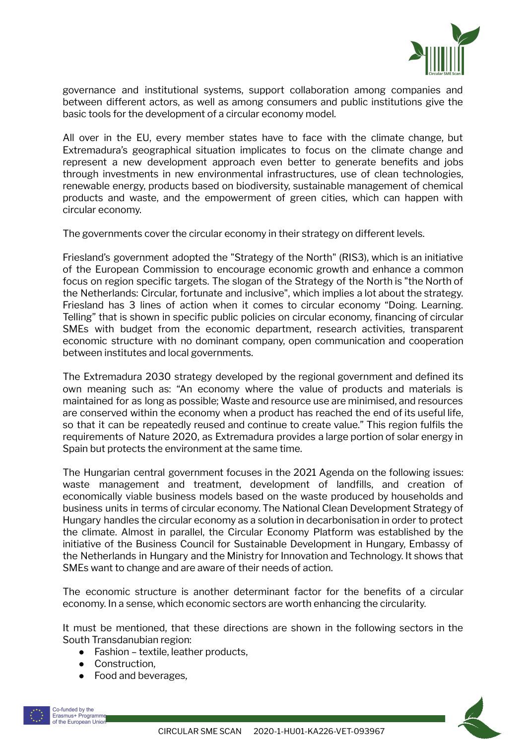

governance and institutional systems, support collaboration among companies and between different actors, as well as among consumers and public institutions give the basic tools for the development of a circular economy model.

All over in the EU, every member states have to face with the climate change, but Extremadura's geographical situation implicates to focus on the climate change and represent a new development approach even better to generate benefits and jobs through investments in new environmental infrastructures, use of clean technologies, renewable energy, products based on biodiversity, sustainable management of chemical products and waste, and the empowerment of green cities, which can happen with circular economy.

The governments cover the circular economy in their strategy on different levels.

Friesland's government adopted the "Strategy of the North" (RIS3), which is an initiative of the European Commission to encourage economic growth and enhance a common focus on region specific targets. The slogan of the Strategy of the North is "the North of the Netherlands: Circular, fortunate and inclusive", which implies a lot about the strategy. Friesland has 3 lines of action when it comes to circular economy "Doing. Learning. Telling" that is shown in specific public policies on circular economy, financing of circular SMEs with budget from the economic department, research activities, transparent economic structure with no dominant company, open communication and cooperation between institutes and local governments.

The Extremadura 2030 strategy developed by the regional government and defined its own meaning such as: "An economy where the value of products and materials is maintained for as long as possible; Waste and resource use are minimised, and resources are conserved within the economy when a product has reached the end of its useful life, so that it can be repeatedly reused and continue to create value." This region fulfils the requirements of Nature 2020, as Extremadura provides a large portion of solar energy in Spain but protects the environment at the same time.

The Hungarian central government focuses in the 2021 Agenda on the following issues: waste management and treatment, development of landfills, and creation of economically viable business models based on the waste produced by households and business units in terms of circular economy. The National Clean Development Strategy of Hungary handles the circular economy as a solution in decarbonisation in order to protect the climate. Almost in parallel, the Circular Economy Platform was established by the initiative of the Business Council for Sustainable Development in Hungary, Embassy of the Netherlands in Hungary and the Ministry for Innovation and Technology. It shows that SMEs want to change and are aware of their needs of action.

The economic structure is another determinant factor for the benefits of a circular economy. In a sense, which economic sectors are worth enhancing the circularity.

It must be mentioned, that these directions are shown in the following sectors in the South Transdanubian region:

- Fashion textile, leather products,
- Construction,
- Food and beverages,

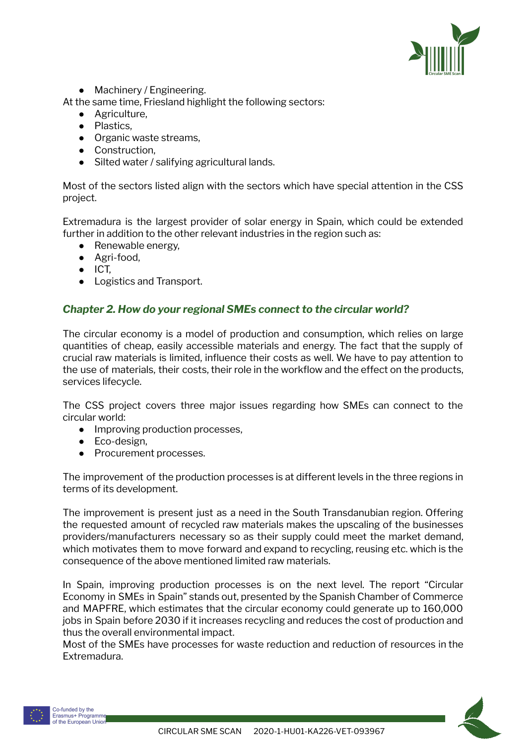

• Machinery / Engineering.

At the same time, Friesland highlight the following sectors:

- Agriculture,
- Plastics,
- Organic waste streams.
- Construction,
- Silted water / salifying agricultural lands.

Most of the sectors listed align with the sectors which have special attention in the CSS project.

Extremadura is the largest provider of solar energy in Spain, which could be extended further in addition to the other relevant industries in the region such as:

- Renewable energy.
- Agri-food,
- ICT,
- Logistics and Transport.

### *Chapter 2. How do your regional SMEs connect to the circular world?*

The circular economy is a model of production and [consumption,](http://www.europarl.europa.eu/RegData/etudes/BRIE/2016/573899/EPRS_BRI%282016%29573899_EN.pdf) which relies on large quantities of cheap, easily accessible materials and energy. The fact that the supply of crucial raw materials is limited, influence their costs as well. We have to pay attention to the use of materials, their costs, their role in the workflow and the effect on the products, services lifecycle.

The CSS project covers three major issues regarding how SMEs can connect to the circular world:

- Improving production processes,
- Eco-design,
- Procurement processes.

The improvement of the production processes is at different levels in the three regions in terms of its development.

The improvement is present just as a need in the South Transdanubian region. Offering the requested amount of recycled raw materials makes the upscaling of the businesses providers/manufacturers necessary so as their supply could meet the market demand, which motivates them to move forward and expand to recycling, reusing etc. which is the consequence of the above mentioned limited raw materials.

In Spain, improving production processes is on the next level. The report "Circular Economy in SMEs in Spain" stands out, presented by the Spanish Chamber of Commerce and MAPFRE, which estimates that the circular economy could generate up to 160,000 jobs in Spain before 2030 if it increases recycling and reduces the cost of production and thus the overall environmental impact.

Most of the SMEs have processes for waste reduction and reduction of resources in the Extremadura.



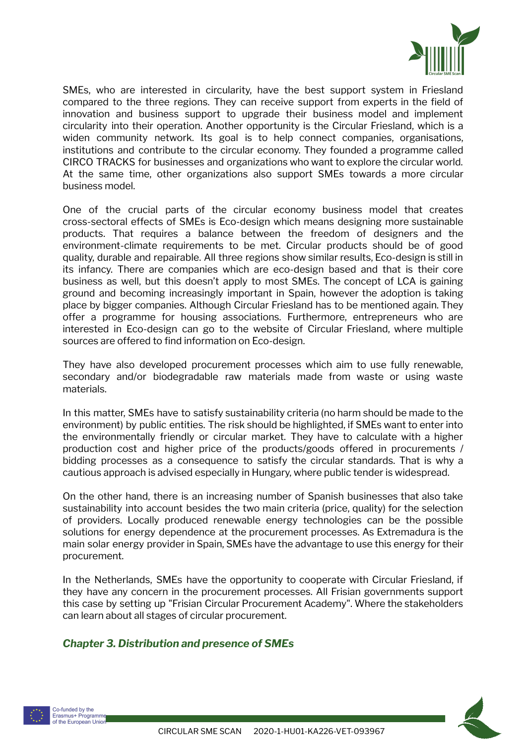

SMEs, who are interested in circularity, have the best support system in Friesland compared to the three regions. They can receive support from experts in the field of innovation and business support to upgrade their business model and implement circularity into their operation. Another opportunity is the Circular Friesland, which is a widen community network. Its goal is to help connect companies, organisations, institutions and contribute to the circular economy. They founded a programme called CIRCO TRACKS for businesses and organizations who want to explore the circular world. At the same time, other organizations also support SMEs towards a more circular business model.

One of the crucial parts of the circular economy business model that creates cross-sectoral effects of SMEs is Eco-design which means designing more sustainable products. That requires a balance between the freedom of designers and the environment-climate requirements to be met. Circular products should be of good quality, durable and repairable. All three regions show similar results, Eco-design is still in its infancy. There are companies which are eco-design based and that is their core business as well, but this doesn't apply to most SMEs. The concept of LCA is gaining ground and becoming increasingly important in Spain, however the adoption is taking place by bigger companies. Although Circular Friesland has to be mentioned again. They offer a programme for housing associations. Furthermore, entrepreneurs who are interested in Eco-design can go to the website of Circular Friesland, where multiple sources are offered to find information on Eco-design.

They have also developed procurement processes which aim to use fully renewable, secondary and/or biodegradable raw materials made from waste or using waste materials.

In this matter, SMEs have to satisfy sustainability criteria (no harm should be made to the environment) by public entities. The risk should be highlighted, if SMEs want to enter into the environmentally friendly or circular market. They have to calculate with a higher production cost and higher price of the products/goods offered in procurements / bidding processes as a consequence to satisfy the circular standards. That is why a cautious approach is advised especially in Hungary, where public tender is widespread.

On the other hand, there is an increasing number of Spanish businesses that also take sustainability into account besides the two main criteria (price, quality) for the selection of providers. Locally produced renewable energy technologies can be the possible solutions for energy dependence at the procurement processes. As Extremadura is the main solar energy provider in Spain, SMEs have the advantage to use this energy for their procurement.

In the Netherlands, SMEs have the opportunity to cooperate with Circular Friesland, if they have any concern in the procurement processes. All Frisian governments support this case by setting up "Frisian Circular Procurement Academy". Where the stakeholders can learn about all stages of circular procurement.

### *Chapter 3. Distribution and presence of SMEs*



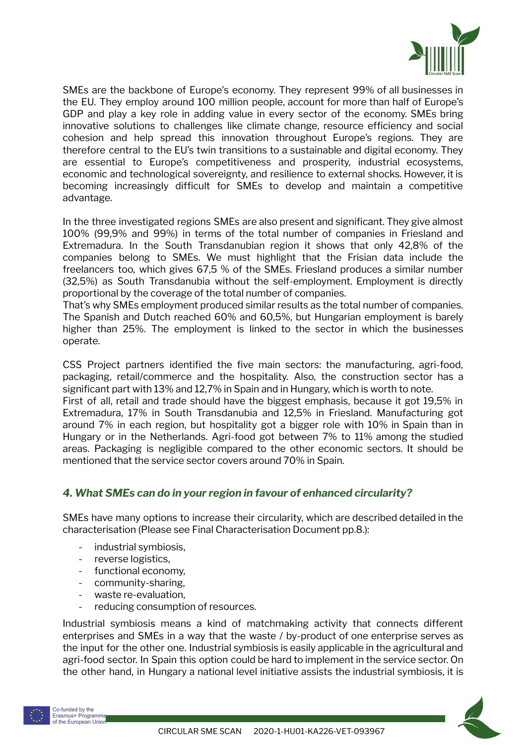

SMEs are the backbone of Europe's economy. They represent 99% of all businesses in the EU. They employ around 100 million people, account for more than half of Europe's GDP and play a key role in adding value in every sector of the economy. SMEs bring innovative solutions to challenges like climate change, resource efficiency and social cohesion and help spread this innovation throughout Europe's regions. They are therefore central to the EU's twin transitions to a sustainable and digital economy. They are essential to Europe's competitiveness and prosperity, industrial ecosystems, economic and technological sovereignty, and resilience to external shocks. However, it is becoming increasingly difficult for SMEs to develop and maintain a competitive advantage.

In the three investigated regions SMEs are also present and significant. They give almost 100% (99,9% and 99%) in terms of the total number of companies in Friesland and Extremadura. In the South Transdanubian region it shows that only 42,8% of the companies belong to SMEs. We must highlight that the Frisian data include the freelancers too, which gives 67,5 % of the SMEs. Friesland produces a similar number (32,5%) as South Transdanubia without the self-employment. Employment is directly proportional by the coverage of the total number of companies.

That's why SMEs employment produced similar results as the total number of companies. The Spanish and Dutch reached 60% and 60,5%, but Hungarian employment is barely higher than 25%. The employment is linked to the sector in which the businesses operate.

CSS Project partners identified the five main sectors: the manufacturing, agri-food, packaging, retail/commerce and the hospitality. Also, the construction sector has a significant part with 13% and 12,7% in Spain and in Hungary, which is worth to note.

First of all, retail and trade should have the biggest emphasis, because it got 19,5% in Extremadura, 17% in South Transdanubia and 12,5% in Friesland. Manufacturing got around 7% in each region, but hospitality got a bigger role with 10% in Spain than in Hungary or in the Netherlands. Agri-food got between 7% to 11% among the studied areas. Packaging is negligible compared to the other economic sectors. It should be mentioned that the service sector covers around 70% in Spain.

### *4. What SMEs can do in your region in favour of enhanced circularity?*

SMEs have many options to increase their circularity, which are described detailed in the characterisation (Please see Final Characterisation Document pp.8.):

- industrial symbiosis,
- reverse logistics,
- functional economy,
- community-sharing,
- waste re-evaluation,
- reducing consumption of resources.

Industrial symbiosis means a kind of matchmaking activity that connects different enterprises and SMEs in a way that the waste / by-product of one enterprise serves as the input for the other one. Industrial symbiosis is easily applicable in the agricultural and agri-food sector. In Spain this option could be hard to implement in the service sector. On the other hand, in Hungary a national level initiative assists the industrial symbiosis, it is



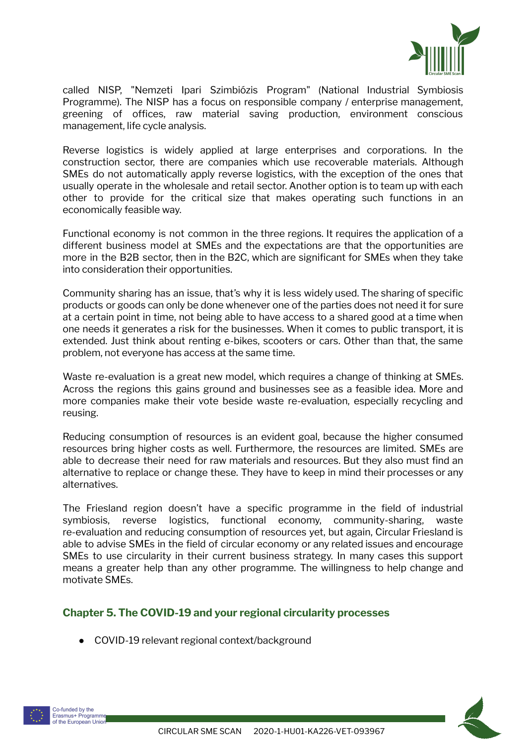

called NISP, "Nemzeti Ipari Szimbiózis Program" (National Industrial Symbiosis Programme). The NISP has a focus on responsible company / enterprise management, greening of offices, raw material saving production, environment conscious management, life cycle analysis.

Reverse logistics is widely applied at large enterprises and corporations. In the construction sector, there are companies which use recoverable materials. Although SMEs do not automatically apply reverse logistics, with the exception of the ones that usually operate in the wholesale and retail sector. Another option is to team up with each other to provide for the critical size that makes operating such functions in an economically feasible way.

Functional economy is not common in the three regions. It requires the application of a different business model at SMEs and the expectations are that the opportunities are more in the B2B sector, then in the B2C, which are significant for SMEs when they take into consideration their opportunities.

Community sharing has an issue, that's why it is less widely used. The sharing of specific products or goods can only be done whenever one of the parties does not need it for sure at a certain point in time, not being able to have access to a shared good at a time when one needs it generates a risk for the businesses. When it comes to public transport, it is extended. Just think about renting e-bikes, scooters or cars. Other than that, the same problem, not everyone has access at the same time.

Waste re-evaluation is a great new model, which requires a change of thinking at SMEs. Across the regions this gains ground and businesses see as a feasible idea. More and more companies make their vote beside waste re-evaluation, especially recycling and reusing.

Reducing consumption of resources is an evident goal, because the higher consumed resources bring higher costs as well. Furthermore, the resources are limited. SMEs are able to decrease their need for raw materials and resources. But they also must find an alternative to replace or change these. They have to keep in mind their processes or any alternatives.

The Friesland region doesn't have a specific programme in the field of industrial symbiosis, reverse logistics, functional economy, community-sharing, waste re-evaluation and reducing consumption of resources yet, but again, Circular Friesland is able to advise SMEs in the field of circular economy or any related issues and encourage SMEs to use circularity in their current business strategy. In many cases this support means a greater help than any other programme. The willingness to help change and motivate SMEs.

### **Chapter 5. The COVID-19 and your regional circularity processes**

● COVID-19 relevant regional context/background



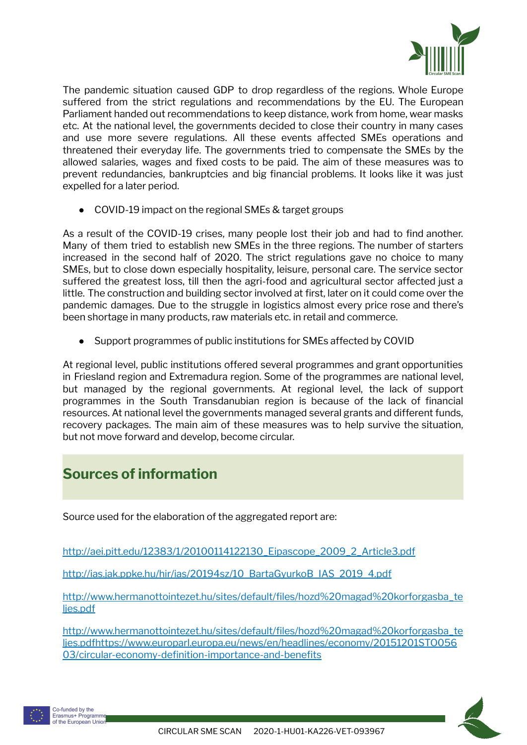

The pandemic situation caused GDP to drop regardless of the regions. Whole Europe suffered from the strict regulations and recommendations by the EU. The European Parliament handed out recommendations to keep distance, work from home, wear masks etc. At the national level, the governments decided to close their country in many cases and use more severe regulations. All these events affected SMEs operations and threatened their everyday life. The governments tried to compensate the SMEs by the allowed salaries, wages and fixed costs to be paid. The aim of these measures was to prevent redundancies, bankruptcies and big financial problems. It looks like it was just expelled for a later period.

● COVID-19 impact on the regional SMEs & target groups

As a result of the COVID-19 crises, many people lost their job and had to find another. Many of them tried to establish new SMEs in the three regions. The number of starters increased in the second half of 2020. The strict regulations gave no choice to many SMEs, but to close down especially hospitality, leisure, personal care. The service sector suffered the greatest loss, till then the agri-food and agricultural sector affected just a little. The construction and building sector involved at first, later on it could come over the pandemic damages. Due to the struggle in logistics almost every price rose and there's been shortage in many products, raw materials etc. in retail and commerce.

● Support programmes of public institutions for SMEs affected by COVID

At regional level, public institutions offered several programmes and grant opportunities in Friesland region and Extremadura region. Some of the programmes are national level, but managed by the regional governments. At regional level, the lack of support programmes in the South Transdanubian region is because of the lack of financial resources. At national level the governments managed several grants and different funds, recovery packages. The main aim of these measures was to help survive the situation, but not move forward and develop, become circular.

# <span id="page-19-0"></span>**Sources of information**

Source used for the elaboration of the aggregated report are:

[http://aei.pitt.edu/12383/1/20100114122130\\_Eipascope\\_2009\\_2\\_Article3.pdf](http://aei.pitt.edu/12383/1/20100114122130_Eipascope_2009_2_Article3.pdf)

[http://ias.jak.ppke.hu/hir/ias/20194sz/10\\_BartaGyurkoB\\_IAS\\_2019\\_4.pdf](http://ias.jak.ppke.hu/hir/ias/20194sz/10_BartaGyurkoB_IAS_2019_4.pdf)

[http://www.hermanottointezet.hu/sites/default/files/hozd%20magad%20korforgasba\\_te](http://www.hermanottointezet.hu/sites/default/files/hozd%20magad%20korforgasba_teljes.pdf) [ljes.pdf](http://www.hermanottointezet.hu/sites/default/files/hozd%20magad%20korforgasba_teljes.pdf)

[http://www.hermanottointezet.hu/sites/default/files/hozd%20magad%20korforgasba\\_te](http://www.hermanottointezet.hu/sites/default/files/hozd%20magad%20korforgasba_teljes.pdf) [ljes.pdfh](http://www.hermanottointezet.hu/sites/default/files/hozd%20magad%20korforgasba_teljes.pdf)ttps://www.europarl.europa.eu/news/en/headlines/economy/20151201STO056 03/circular-economy-definition-importance-and-benefits

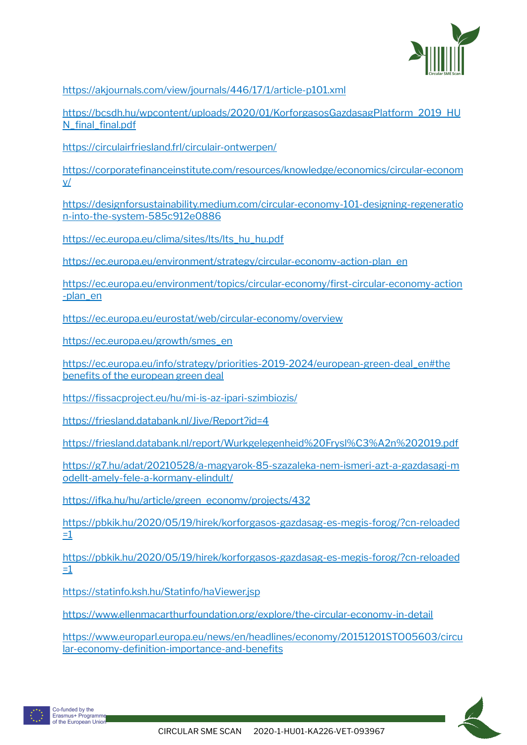

<https://akjournals.com/view/journals/446/17/1/article-p101.xml>

[https://bcsdh.hu/wpcontent/uploads/2020/01/KorforgasosGazdasagPlatform\\_2019\\_HU](https://bcsdh.hu/wpcontent/uploads/2020/01/KorforgasosGazdasagPlatform_2019_HUN_final_final.pdf) N final final.pdf

<https://circulairfriesland.frl/circulair-ontwerpen/>

[https://corporatefinanceinstitute.com/resources/knowledge/economics/circular-econom](https://corporatefinanceinstitute.com/resources/knowledge/economics/circular-economy/) [y/](https://corporatefinanceinstitute.com/resources/knowledge/economics/circular-economy/)

[https://designforsustainability.medium.com/circular-economy-101-designing-regeneratio](https://designforsustainability.medium.com/circular-economy-101-designing-regeneration-into-the-system-585c912e0886) [n-into-the-system-585c912e0886](https://designforsustainability.medium.com/circular-economy-101-designing-regeneration-into-the-system-585c912e0886)

[https://ec.europa.eu/clima/sites/lts/lts\\_hu\\_hu.pdf](https://ec.europa.eu/clima/sites/lts/lts_hu_hu.pdf)

[https://ec.europa.eu/environment/strategy/circular-economy-action-plan\\_en](https://ec.europa.eu/environment/strategy/circular-economy-action-plan_en)

[https://ec.europa.eu/environment/topics/circular-economy/first-circular-economy-action](https://ec.europa.eu/environment/topics/circular-economy/first-circular-economy-action-plan_en) [-plan\\_en](https://ec.europa.eu/environment/topics/circular-economy/first-circular-economy-action-plan_en)

<https://ec.europa.eu/eurostat/web/circular-economy/overview>

https://ec.europa.eu/growth/smes\_en

[https://ec.europa.eu/info/strategy/priorities-2019-2024/european-green-deal\\_en#the](https://ec.europa.eu/info/strategy/priorities-2019-2024/european-green-deal_en#thebenefitsoftheeuropeangreendeal) benefits of the [european](https://ec.europa.eu/info/strategy/priorities-2019-2024/european-green-deal_en#thebenefitsoftheeuropeangreendeal) green deal

<https://fissacproject.eu/hu/mi-is-az-ipari-szimbiozis/>

<https://friesland.databank.nl/Jive/Report?id=4>

<https://friesland.databank.nl/report/Wurkgelegenheid%20Frysl%C3%A2n%202019.pdf>

[https://g7.hu/adat/20210528/a-magyarok-85-szazaleka-nem-ismeri-azt-a-gazdasagi-m](https://g7.hu/adat/20210528/a-magyarok-85-szazaleka-nem-ismeri-azt-a-gazdasagi-modellt-amely-fele-a-kormany-elindult/) [odellt-amely-fele-a-kormany-elindult/](https://g7.hu/adat/20210528/a-magyarok-85-szazaleka-nem-ismeri-azt-a-gazdasagi-modellt-amely-fele-a-kormany-elindult/)

[https://ifka.hu/hu/article/green\\_economy/projects/432](https://ifka.hu/hu/article/green_economy/projects/432)

[https://pbkik.hu/2020/05/19/hirek/korforgasos-gazdasag-es-megis-forog/?cn-reloaded](https://pbkik.hu/2020/05/19/hirek/korforgasos-gazdasag-es-megis-forog/?cn-reloaded=1)  $\equiv$   $\perp$ 

[https://pbkik.hu/2020/05/19/hirek/korforgasos-gazdasag-es-megis-forog/?cn-reloaded](https://pbkik.hu/2020/05/19/hirek/korforgasos-gazdasag-es-megis-forog/?cn-reloaded=1)  $=1$ 

<https://statinfo.ksh.hu/Statinfo/haViewer.jsp>

<https://www.ellenmacarthurfoundation.org/explore/the-circular-economy-in-detail>

[https://www.europarl.europa.eu/news/en/headlines/economy/20151201STO05603/circu](https://www.europarl.europa.eu/news/en/headlines/economy/20151201STO05603/circular-economy-definition-importance-and-benefits) [lar-economy-definition-importance-and-benefits](https://www.europarl.europa.eu/news/en/headlines/economy/20151201STO05603/circular-economy-definition-importance-and-benefits)